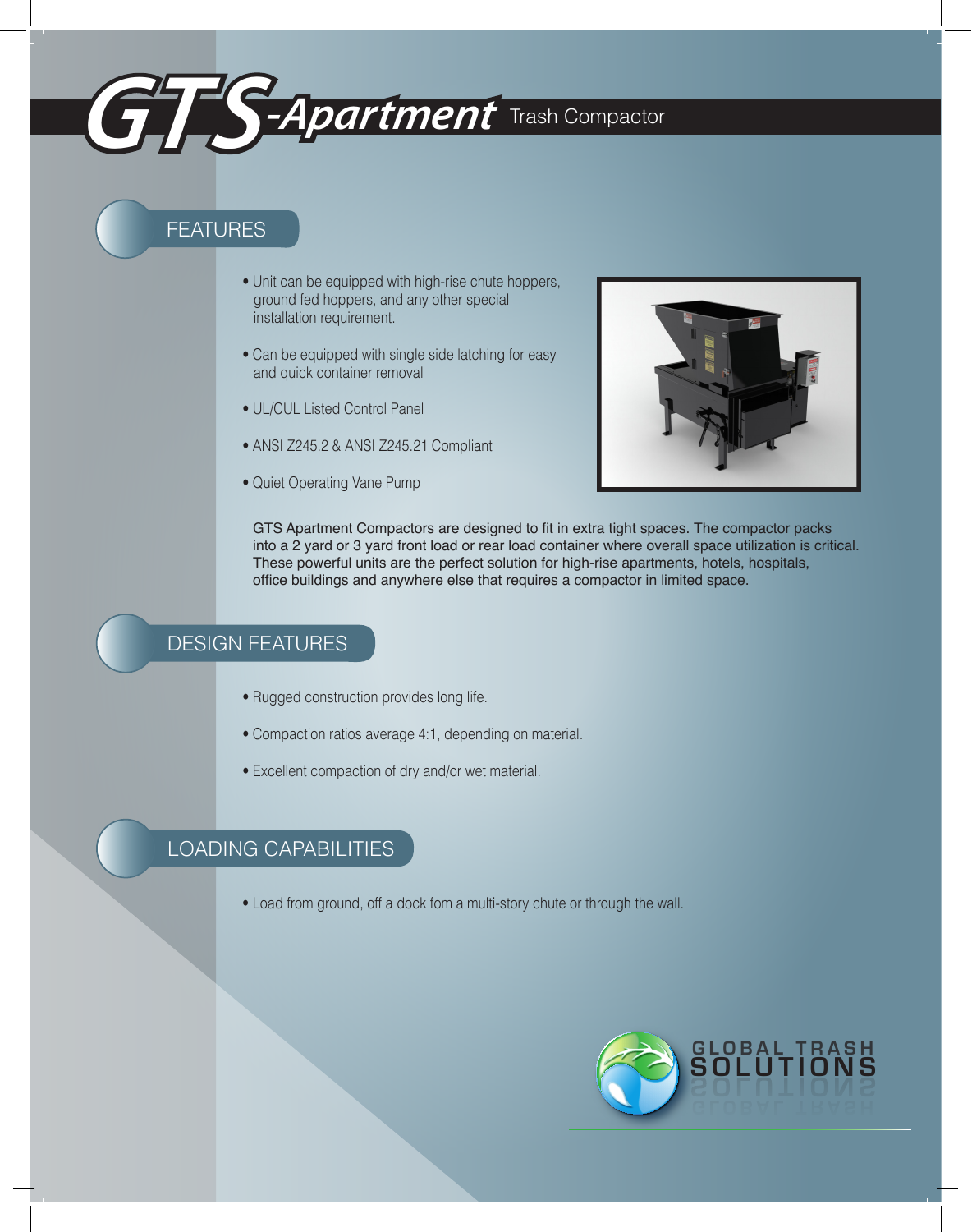

# FEATURES

- Unit can be equipped with high-rise chute hoppers, ground fed hoppers, and any other special installation requirement.
- Can be equipped with single side latching for easy and quick container removal
- UL/CUL Listed Control Panel
- ANSI Z245.2 & ANSI Z245.21 Compliant
- Quiet Operating Vane Pump



GTS Apartment Compactors are designed to fit in extra tight spaces. The compactor packs into a 2 yard or 3 yard front load or rear load container where overall space utilization is critical. These powerful units are the perfect solution for high-rise apartments, hotels, hospitals, office buildings and anywhere else that requires a compactor in limited space.

### DESIGN FEATURES

- Rugged construction provides long life.
- Compaction ratios average 4:1, depending on material.
- Excellent compaction of dry and/or wet material.

## LOADING CAPABILITIES

• Load from ground, off a dock fom a multi-story chute or through the wall.